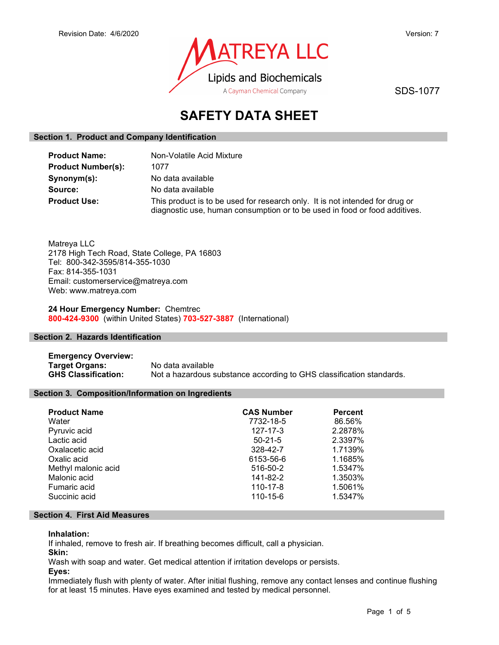

SDS-1077

# SAFETY DATA SHEET

### Section 1. Product and Company Identification

| <b>Product Name:</b>      | Non-Volatile Acid Mixture                                                                                                                                  |
|---------------------------|------------------------------------------------------------------------------------------------------------------------------------------------------------|
| <b>Product Number(s):</b> | 1077                                                                                                                                                       |
| Synonym(s):               | No data available                                                                                                                                          |
| Source:                   | No data available                                                                                                                                          |
| <b>Product Use:</b>       | This product is to be used for research only. It is not intended for drug or<br>diagnostic use, human consumption or to be used in food or food additives. |

Matreya LLC 2178 High Tech Road, State College, PA 16803 Tel: 800-342-3595/814-355-1030 Fax: 814-355-1031 Email: customerservice@matreya.com Web: www.matreya.com

24 Hour Emergency Number: Chemtrec 800-424-9300 (within United States) 703-527-3887 (International)

### Section 2. Hazards Identification

Emergency Overview: Target Organs: No data available GHS Classification: Not a hazardous substance according to GHS classification standards.

### Section 3. Composition/Information on Ingredients

| <b>Product Name</b> | <b>CAS Number</b> | <b>Percent</b> |
|---------------------|-------------------|----------------|
| Water               | 7732-18-5         | 86.56%         |
| Pyruvic acid        | $127 - 17 - 3$    | 2.2878%        |
| Lactic acid         | $50 - 21 - 5$     | 2.3397%        |
| Oxalacetic acid     | 328-42-7          | 1.7139%        |
| Oxalic acid         | 6153-56-6         | 1.1685%        |
| Methyl malonic acid | 516-50-2          | 1.5347%        |
| Malonic acid        | 141-82-2          | 1.3503%        |
| Fumaric acid        | 110-17-8          | 1.5061%        |
| Succinic acid       | 110-15-6          | 1.5347%        |

### Section 4. First Aid Measures

### Inhalation:

If inhaled, remove to fresh air. If breathing becomes difficult, call a physician.

Skin:

Wash with soap and water. Get medical attention if irritation develops or persists.

Eyes:

Immediately flush with plenty of water. After initial flushing, remove any contact lenses and continue flushing for at least 15 minutes. Have eyes examined and tested by medical personnel.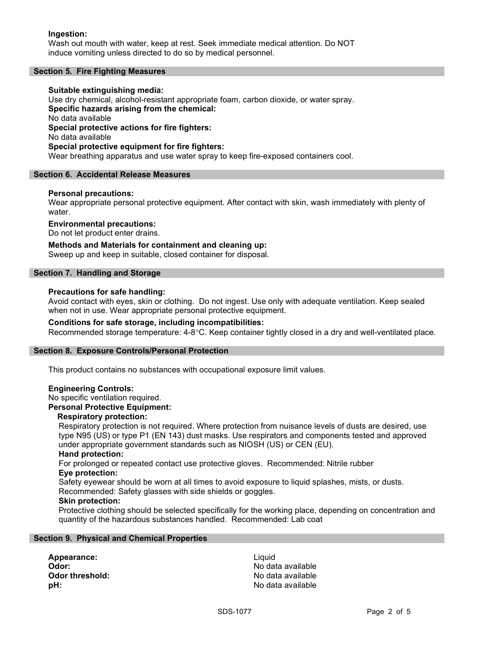### Ingestion:

Wash out mouth with water, keep at rest. Seek immediate medical attention. Do NOT induce vomiting unless directed to do so by medical personnel.

### Section 5. Fire Fighting Measures

### Suitable extinguishing media: Use dry chemical, alcohol-resistant appropriate foam, carbon dioxide, or water spray. Specific hazards arising from the chemical: No data available Special protective actions for fire fighters: No data available Special protective equipment for fire fighters: Wear breathing apparatus and use water spray to keep fire-exposed containers cool.

#### Section 6. Accidental Release Measures

#### Personal precautions:

Wear appropriate personal protective equipment. After contact with skin, wash immediately with plenty of water.

#### Environmental precautions:

Do not let product enter drains.

Methods and Materials for containment and cleaning up: Sweep up and keep in suitable, closed container for disposal.

#### Section 7. Handling and Storage

#### Precautions for safe handling:

Avoid contact with eyes, skin or clothing. Do not ingest. Use only with adequate ventilation. Keep sealed when not in use. Wear appropriate personal protective equipment.

### Conditions for safe storage, including incompatibilities:

Recommended storage temperature: 4-8°C. Keep container tightly closed in a dry and well-ventilated place.

### Section 8. Exposure Controls/Personal Protection

This product contains no substances with occupational exposure limit values.

#### Engineering Controls:

No specific ventilation required.

#### Personal Protective Equipment:

### Respiratory protection:

Respiratory protection is not required. Where protection from nuisance levels of dusts are desired, use type N95 (US) or type P1 (EN 143) dust masks. Use respirators and components tested and approved under appropriate government standards such as NIOSH (US) or CEN (EU).

#### Hand protection:

For prolonged or repeated contact use protective gloves. Recommended: Nitrile rubber Eye protection:

Safety eyewear should be worn at all times to avoid exposure to liquid splashes, mists, or dusts. Recommended: Safety glasses with side shields or goggles.

#### Skin protection:

Protective clothing should be selected specifically for the working place, depending on concentration and quantity of the hazardous substances handled. Recommended: Lab coat

### Section 9. Physical and Chemical Properties

Appearance: Liquid

Odor: No data available **Odor threshold:** No data available pH: No data available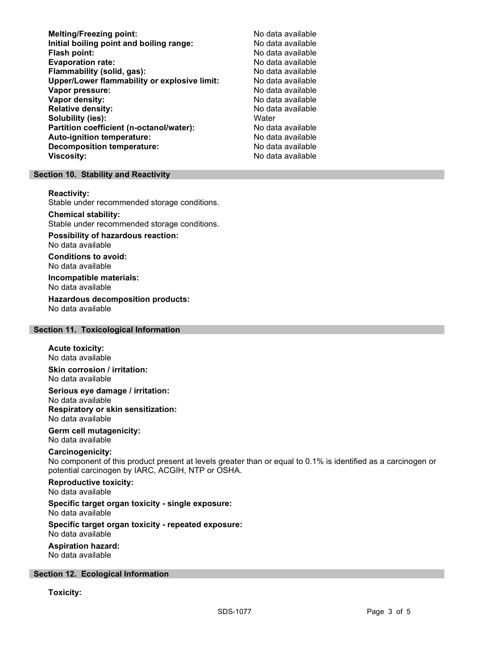Melting/Freezing point: Melting/Freezing point: No data available Initial boiling point and boiling range: No data available Flash point: No data available Evaporation rate: No data available Flammability (solid, gas):<br>
Upper/Lower flammability or explosive limit: No data available Upper/Lower flammability or explosive limit: Vapor pressure: No data available Vapor density: No data available Relative density: No data available Solubility (ies): Water Partition coefficient (n-octanol/water): No data available Auto-ignition temperature: No data available **Decomposition temperature:** No data available Viscosity: No data available

### Section 10. Stability and Reactivity

#### Reactivity:

Stable under recommended storage conditions.

### Chemical stability:

Stable under recommended storage conditions.

#### Possibility of hazardous reaction: No data available

Conditions to avoid:

No data available Incompatible materials:

No data available

#### Hazardous decomposition products: No data available

#### Section 11. Toxicological Information

# Acute toxicity:

No data available

Skin corrosion / irritation: No data available

Serious eye damage / irritation: No data available Respiratory or skin sensitization: No data available

### Germ cell mutagenicity: No data available

# Carcinogenicity:

No component of this product present at levels greater than or equal to 0.1% is identified as a carcinogen or potential carcinogen by IARC, ACGIH, NTP or OSHA.

# Reproductive toxicity:

No data available

#### Specific target organ toxicity - single exposure: No data available

# Specific target organ toxicity - repeated exposure:

No data available

### Aspiration hazard:

No data available

### Section 12. Ecological Information

Toxicity: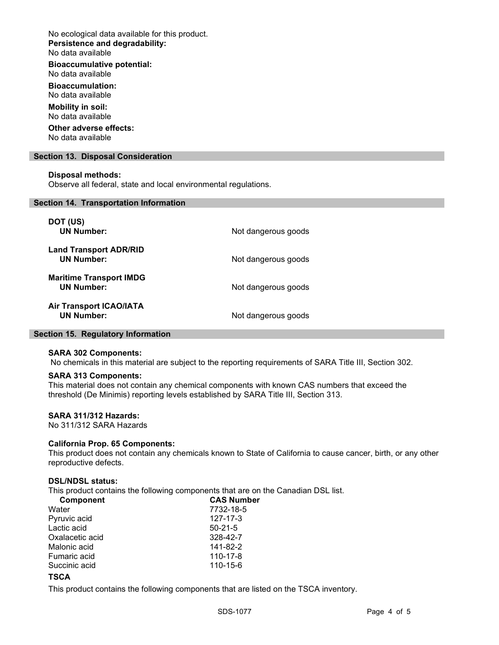No ecological data available for this product. Persistence and degradability: No data available

Bioaccumulative potential:

No data available Bioaccumulation:

No data available

Mobility in soil: No data available

Other adverse effects: No data available

Section 13. Disposal Consideration

### Disposal methods:

Observe all federal, state and local environmental regulations.

#### Section 14. Transportation Information

| DOT (US)<br><b>UN Number:</b>                       | Not dangerous goods |
|-----------------------------------------------------|---------------------|
| <b>Land Transport ADR/RID</b><br><b>UN Number:</b>  | Not dangerous goods |
| <b>Maritime Transport IMDG</b><br><b>UN Number:</b> | Not dangerous goods |
| <b>Air Transport ICAO/IATA</b><br><b>UN Number:</b> | Not dangerous goods |

### Section 15. Regulatory Information

#### SARA 302 Components:

No chemicals in this material are subject to the reporting requirements of SARA Title III, Section 302.

### SARA 313 Components:

This material does not contain any chemical components with known CAS numbers that exceed the threshold (De Minimis) reporting levels established by SARA Title III, Section 313.

#### SARA 311/312 Hazards:

No 311/312 SARA Hazards

### California Prop. 65 Components:

This product does not contain any chemicals known to State of California to cause cancer, birth, or any other reproductive defects.

#### DSL/NDSL status:

This product contains the following components that are on the Canadian DSL list.

| <b>Component</b> | <b>CAS Number</b> |  |
|------------------|-------------------|--|
| Water            | 7732-18-5         |  |
| Pyruvic acid     | 127-17-3          |  |
| Lactic acid      | $50 - 21 - 5$     |  |
| Oxalacetic acid  | 328-42-7          |  |
| Malonic acid     | 141-82-2          |  |
| Fumaric acid     | 110-17-8          |  |
| Succinic acid    | 110-15-6          |  |
|                  |                   |  |

# **TSCA**

This product contains the following components that are listed on the TSCA inventory.